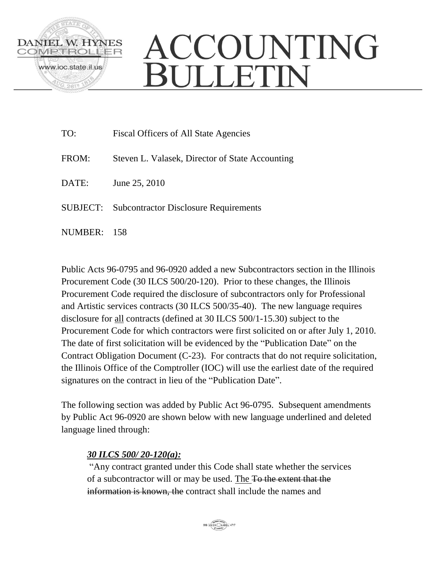

## ACCOUNTING BULLETIN

| TO:     | <b>Fiscal Officers of All State Agencies</b>          |
|---------|-------------------------------------------------------|
| FROM:   | Steven L. Valasek, Director of State Accounting       |
| DATE:   | June 25, 2010                                         |
|         | <b>SUBJECT:</b> Subcontractor Disclosure Requirements |
| NUMBER: | -158                                                  |

Public Acts 96-0795 and 96-0920 added a new Subcontractors section in the Illinois Procurement Code (30 ILCS 500/20-120). Prior to these changes, the Illinois Procurement Code required the disclosure of subcontractors only for Professional and Artistic services contracts (30 ILCS 500/35-40). The new language requires disclosure for all contracts (defined at 30 ILCS 500/1-15.30) subject to the Procurement Code for which contractors were first solicited on or after July 1, 2010. The date of first solicitation will be evidenced by the "Publication Date" on the Contract Obligation Document (C-23). For contracts that do not require solicitation, the Illinois Office of the Comptroller (IOC) will use the earliest date of the required signatures on the contract in lieu of the "Publication Date".

The following section was added by Public Act 96-0795. Subsequent amendments by Public Act 96-0920 are shown below with new language underlined and deleted language lined through:

## *30 ILCS 500/ 20-120(a):*

"Any contract granted under this Code shall state whether the services of a subcontractor will or may be used. The To the extent that the information is known, the contract shall include the names and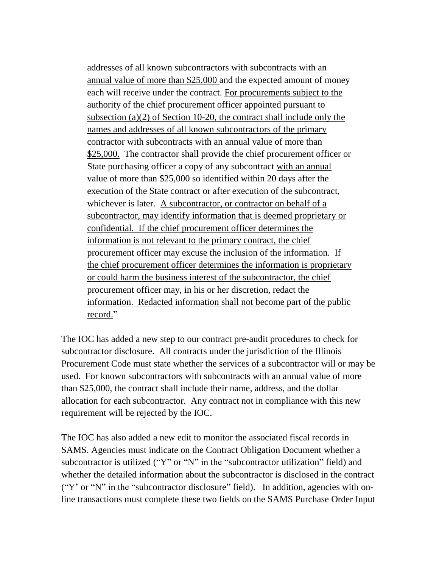addresses of all known subcontractors with subcontracts with an annual value of more than \$25,000 and the expected amount of money each will receive under the contract. For procurements subject to the authority of the chief procurement officer appointed pursuant to subsection (a)(2) of Section 10-20, the contract shall include only the names and addresses of all known subcontractors of the primary contractor with subcontracts with an annual value of more than \$25,000. The contractor shall provide the chief procurement officer or State purchasing officer a copy of any subcontract with an annual value of more than \$25,000 so identified within 20 days after the execution of the State contract or after execution of the subcontract, whichever is later. A subcontractor, or contractor on behalf of a subcontractor, may identify information that is deemed proprietary or confidential. If the chief procurement officer determines the information is not relevant to the primary contract, the chief procurement officer may excuse the inclusion of the information. If the chief procurement officer determines the information is proprietary or could harm the business interest of the subcontractor, the chief procurement officer may, in his or her discretion, redact the information. Redacted information shall not become part of the public record."

The IOC has added a new step to our contract pre-audit procedures to check for subcontractor disclosure. All contracts under the jurisdiction of the Illinois Procurement Code must state whether the services of a subcontractor will or may be used. For known subcontractors with subcontracts with an annual value of more than \$25,000, the contract shall include their name, address, and the dollar allocation for each subcontractor. Any contract not in compliance with this new requirement will be rejected by the IOC.

The IOC has also added a new edit to monitor the associated fiscal records in SAMS. Agencies must indicate on the Contract Obligation Document whether a subcontractor is utilized ("Y" or "N" in the "subcontractor utilization" field) and whether the detailed information about the subcontractor is disclosed in the contract ("Y' or "N" in the "subcontractor disclosure" field). In addition, agencies with online transactions must complete these two fields on the SAMS Purchase Order Input